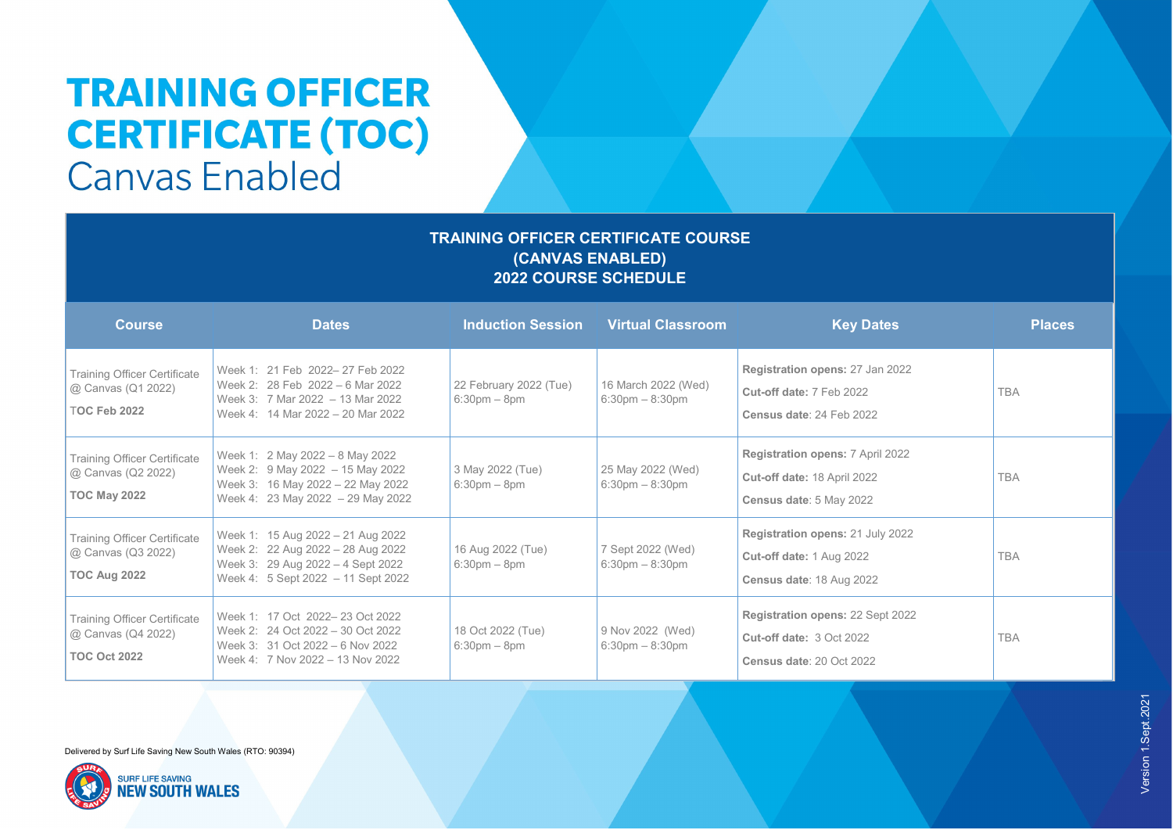## **TRAINING OFFICER CERTIFICATE (TOC) Canvas Enabled**

### **TRAINING OFFICER CERTIFICATE COURSE (CANVAS ENABLED) 2022 COURSE SCHEDULE**

| <b>Course</b>                                                                    | <b>Dates</b>                                                                                                                                      | <b>Induction Session</b>                    | <b>Virtual Classroom</b>                                 | <b>Key Dates</b>                                                                                       | <b>Places</b> |
|----------------------------------------------------------------------------------|---------------------------------------------------------------------------------------------------------------------------------------------------|---------------------------------------------|----------------------------------------------------------|--------------------------------------------------------------------------------------------------------|---------------|
| <b>Training Officer Certificate</b><br>@ Canvas (Q1 2022)<br><b>TOC Feb 2022</b> | Week 1: 21 Feb 2022-27 Feb 2022<br>Week 2: 28 Feb 2022 - 6 Mar 2022<br>Week 3: 7 Mar 2022 - 13 Mar 2022<br>Week 4: 14 Mar 2022 - 20 Mar 2022      | 22 February 2022 (Tue)<br>$6:30$ pm $-8$ pm | 16 March 2022 (Wed)<br>$6:30 \text{pm} - 8:30 \text{pm}$ | Registration opens: 27 Jan 2022<br>Cut-off date: 7 Feb 2022<br>Census date: 24 Feb 2022                | <b>TBA</b>    |
| <b>Training Officer Certificate</b><br>@ Canvas (Q2 2022)<br><b>TOC May 2022</b> | Week 1: 2 May 2022 - 8 May 2022<br>Week 2: 9 May 2022 - 15 May 2022<br>Week 3: 16 May 2022 - 22 May 2022<br>Week 4: 23 May 2022 $-$ 29 May 2022   | 3 May 2022 (Tue)<br>$6:30$ pm $-8$ pm       | 25 May 2022 (Wed)<br>$6:30 \text{pm} - 8:30 \text{pm}$   | <b>Registration opens: 7 April 2022</b><br>Cut-off date: 18 April 2022<br>Census date: 5 May 2022      | <b>TBA</b>    |
| <b>Training Officer Certificate</b><br>@ Canvas (Q3 2022)<br><b>TOC Aug 2022</b> | Week 1: 15 Aug 2022 - 21 Aug 2022<br>Week 2: 22 Aug 2022 - 28 Aug 2022<br>Week 3: 29 Aug 2022 - 4 Sept 2022<br>Week 4: 5 Sept 2022 - 11 Sept 2022 | 16 Aug 2022 (Tue)<br>$6:30$ pm $-8$ pm      | 7 Sept 2022 (Wed)<br>$6:30 \text{pm} - 8:30 \text{pm}$   | Registration opens: 21 July 2022<br>Cut-off date: 1 Aug 2022<br>Census date: 18 Aug 2022               | <b>TBA</b>    |
| <b>Training Officer Certificate</b><br>@ Canvas (Q4 2022)<br><b>TOC Oct 2022</b> | Week 1: 17 Oct 2022-23 Oct 2022<br>Week 2: 24 Oct 2022 - 30 Oct 2022<br>Week 3: 31 Oct 2022 - 6 Nov 2022<br>Week 4: 7 Nov 2022 - 13 Nov 2022      | 18 Oct 2022 (Tue)<br>$6:30$ pm $-8$ pm      | 9 Nov 2022 (Wed)<br>$6:30 \text{pm} - 8:30 \text{pm}$    | <b>Registration opens: 22 Sept 2022</b><br><b>Cut-off date: 3 Oct 2022</b><br>Census date: 20 Oct 2022 | <b>TBA</b>    |